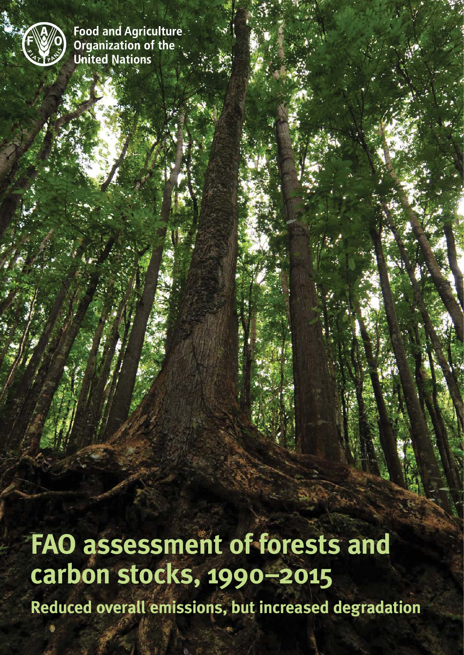

**Food and Agriculture.** Organization of the .. **United Nations** 

**FAO assessment of forests and carbon stocks, 1990–2015 Reduced overall emissions, but increased degradation**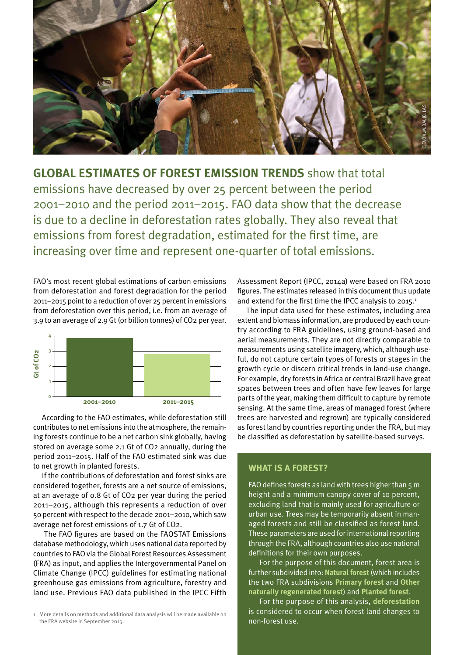

**Global estimates of forest emission trends** show that total emissions have decreased by over 25 percent between the period 2001–2010 and the period 2011–2015. FAO data show that the decrease is due to a decline in deforestation rates globally. They also reveal that emissions from forest degradation, estimated for the first time, are increasing over time and represent one-quarter of total emissions.

FAO's most recent global estimations of carbon emissions from deforestation and forest degradation for the period 2011–2015 point to a reduction of over 25 percent in emissions from deforestation over this period, i.e. from an average of 3.9 to an average of 2.9 Gt (or billion tonnes) of CO2 per year.



According to the FAO estimates, while deforestation still contributes to net emissions into the atmosphere, the remaining forests continue to be a net carbon sink globally, having stored on average some 2.1 Gt of CO2 annually, during the period 2011–2015. Half of the FAO estimated sink was due to net growth in planted forests.

If the contributions of deforestation and forest sinks are considered together, forests are a net source of emissions, at an average of 0.8 Gt of CO2 per year during the period 2011–2015, although this represents a reduction of over 50 percent with respect to the decade 2001–2010, which saw average net forest emissions of 1.7 Gt of CO2.

 The FAO figures are based on the FAOSTAT Emissions database methodology, which uses national data reported by countries to FAO via the Global Forest Resources Assessment (FRA) as input, and applies the Intergovernmental Panel on Climate Change (IPCC) guidelines for estimating national greenhouse gas emissions from agriculture, forestry and land use. Previous FAO data published in the IPCC Fifth

1 More details on methods and additional data analysis will be made available on the FRA website in September 2015.

Assessment Report (IPCC, 2014a) were based on FRA 2010 figures. The estimates released in this document thus update and extend for the first time the IPCC analysis to 2015.<sup>1</sup>

The input data used for these estimates, including area extent and biomass information, are produced by each country according to FRA guidelines, using ground-based and aerial measurements. They are not directly comparable to measurements using satellite imagery, which, although useful, do not capture certain types of forests or stages in the growth cycle or discern critical trends in land-use change. For example, dry forests in Africa or central Brazil have great spaces between trees and often have few leaves for large parts of the year, making them difficult to capture by remote sensing. At the same time, areas of managed forest (where trees are harvested and regrown) are typically considered as forest land by countries reporting under the FRA, but may be classified as deforestation by satellite-based surveys.

## **What is a forest?**

FAO defines forests as land with trees higher than 5 m height and a minimum canopy cover of 10 percent, excluding land that is mainly used for agriculture or urban use. Trees may be temporarily absent in managed forests and still be classified as forest land. These parameters are used for international reporting through the FRA, although countries also use national definitions for their own purposes.

For the purpose of this document, forest area is further subdivided into: **Natural forest** (which includes the two FRA subdivisions **Primary forest** and **Other naturally regenerated forest**) and **Planted forest**.

For the purpose of this analysis, **deforestation** is considered to occur when forest land changes to non-forest use.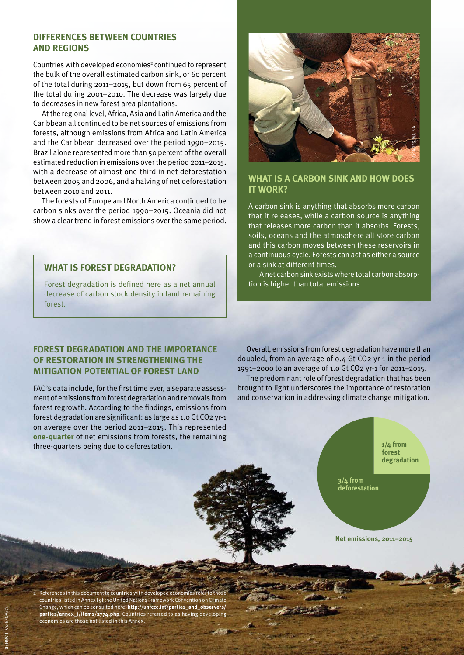### **Differences between countries and regions**

Countries with developed economies<sup>2</sup> continued to represent the bulk of the overall estimated carbon sink, or 60 percent of the total during 2011–2015, but down from 65 percent of the total during 2001–2010. The decrease was largely due to decreases in new forest area plantations.

At the regional level, Africa, Asia and Latin America and the Caribbean all continued to be net sources of emissions from forests, although emissions from Africa and Latin America and the Caribbean decreased over the period 1990–2015. Brazil alone represented more than 50 percent of the overall estimated reduction in emissions over the period 2011–2015, with a decrease of almost one-third in net deforestation between 2005 and 2006, and a halving of net deforestation between 2010 and 2011.

The forests of Europe and North America continued to be carbon sinks over the period 1990–2015. Oceania did not show a clear trend in forest emissions over the same period.

## **what is a carbon sink and how does it work?**

A carbon sink is anything that absorbs more carbon that it releases, while a carbon source is anything that releases more carbon than it absorbs. Forests, soils, oceans and the atmosphere all store carbon and this carbon moves between these reservoirs in a continuous cycle. Forests can act as either a source or a sink at different times.

A net carbon sink exists where total carbon absorption is higher than total emissions.

# **What is forest degradation?**

Forest degradation is defined here as a net annual decrease of carbon stock density in land remaining forest.

## **Forest degradation and the importance of restoration in strengthening the mitigation potential of forest land**

FAO's data include, for the first time ever, a separate assessment of emissions from forest degradation and removals from forest regrowth. According to the findings, emissions from forest degradation are significant: as large as 1.0 Gt CO2 yr-1 on average over the period 2011–2015. This represented **one-quarter** of net emissions from forests, the remaining three-quarters being due to deforestation.

Overall, emissions from forest degradation have more than doubled, from an average of 0.4 Gt CO2 yr-1 in the period 1991–2000 to an average of 1.0 Gt CO2 yr-1 for 2011–2015.

The predominant role of forest degradation that has been brought to light underscores the importance of restoration and conservation in addressing climate change mitigation.



Net emissions, 2011-2015

2 References in this document to countries with developed economies refer to those countries listed in Annex I of the United Nations Framework Convention on Climate Change, which can be consulted here: **http://unfccc.int/parties\_and\_observers/ parties/annex\_i/items/2774.php**. Countries referred to as having developing economies are those not listed in this Annex.

©FAO/S.Gallagher